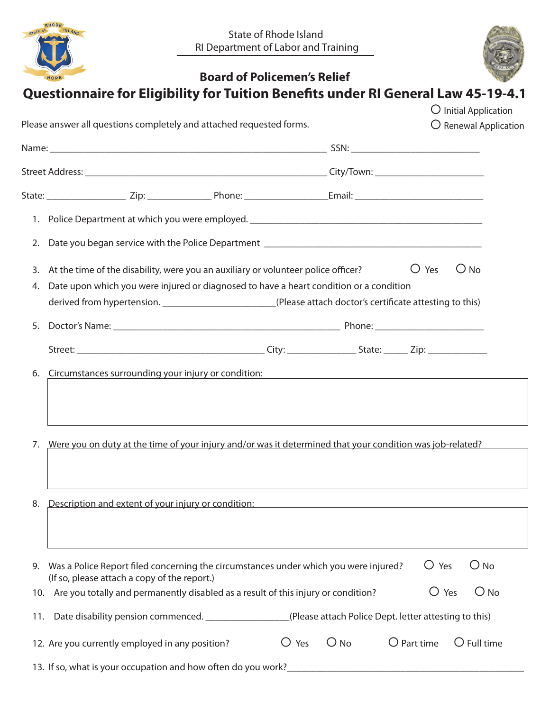| RHODE    |               |
|----------|---------------|
| STATE of | <b>ISLAND</b> |
|          |               |
| HOPE     |               |



|            | Please answer all questions completely and attached requested forms.                                                                                                                                 |  |  |                                                             |  |                | $\bigcirc$ Initial Application<br>O Renewal Application |
|------------|------------------------------------------------------------------------------------------------------------------------------------------------------------------------------------------------------|--|--|-------------------------------------------------------------|--|----------------|---------------------------------------------------------|
|            |                                                                                                                                                                                                      |  |  |                                                             |  |                |                                                         |
|            |                                                                                                                                                                                                      |  |  |                                                             |  |                |                                                         |
|            |                                                                                                                                                                                                      |  |  |                                                             |  |                |                                                         |
|            |                                                                                                                                                                                                      |  |  |                                                             |  |                |                                                         |
| 2.         |                                                                                                                                                                                                      |  |  |                                                             |  |                |                                                         |
| 3.         | At the time of the disability, were you an auxiliary or volunteer police officer?                                                                                                                    |  |  |                                                             |  | $\bigcup$ Yes  | $\bigcirc$ No                                           |
| 4.         | Date upon which you were injured or diagnosed to have a heart condition or a condition<br>derived from hypertension. _________________________(Please attach doctor's certificate attesting to this) |  |  |                                                             |  |                |                                                         |
| 5.         |                                                                                                                                                                                                      |  |  |                                                             |  |                |                                                         |
|            |                                                                                                                                                                                                      |  |  |                                                             |  |                |                                                         |
| 6.         | Circumstances surrounding your injury or condition:                                                                                                                                                  |  |  |                                                             |  |                |                                                         |
|            |                                                                                                                                                                                                      |  |  | <u> 1989 - Andrea Station, amerikansk politik (d. 1989)</u> |  |                |                                                         |
|            | Were you on duty at the time of your injury and/or was it determined that your condition was job-related?                                                                                            |  |  |                                                             |  |                |                                                         |
| 7.<br>8.   | Description and extent of your injury or condition:                                                                                                                                                  |  |  | <u> 1989 - Johann Stoff, fransk politiker (d. 1989)</u>     |  |                |                                                         |
| 9.         | Was a Police Report filed concerning the circumstances under which you were injured?<br>(If so, please attach a copy of the report.)                                                                 |  |  |                                                             |  | ○ Yes          | $\bigcirc$ No                                           |
|            | Are you totally and permanently disabled as a result of this injury or condition?                                                                                                                    |  |  |                                                             |  | $\bigcirc$ Yes | $O$ No                                                  |
| 10.<br>11. | Date disability pension commenced. ___________________(Please attach Police Dept. letter attesting to this)                                                                                          |  |  |                                                             |  |                |                                                         |